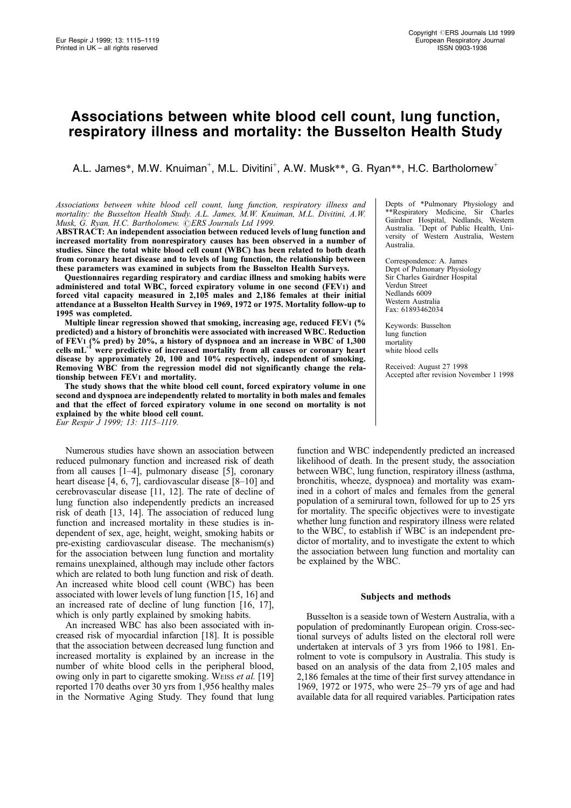# Associations between white blood cell count, lung function, respiratory illness and mortality: the Busselton Health Study

A.L. James\*, M.W. Knuiman<sup>+</sup>, M.L. Divitini<sup>+</sup>, A.W. Musk\*\*, G. Ryan\*\*, H.C. Bartholomew<sup>+</sup>

#### Associations between white blood cell count, lung function, respiratory illness and mortality: the Busselton Health Study. A.L. James, M.W. Knuiman, M.L. Divitini, A.W. Musk, G. Ryan, H.C. Bartholomew. #ERS Journals Ltd 1999.

ABSTRACT: An independent association between reduced levels of lung function and increased mortality from nonrespiratory causes has been observed in a number of studies. Since the total white blood cell count (WBC) has been related to both death from coronary heart disease and to levels of lung function, the relationship between these parameters was examined in subjects from the Busselton Health Surveys.

Questionnaires regarding respiratory and cardiac illness and smoking habits were administered and total WBC, forced expiratory volume in one second (FEV1) and forced vital capacity measured in 2,105 males and 2,186 females at their initial attendance at a Busselton Health Survey in 1969, 1972 or 1975. Mortality follow-up to 1995 was completed.

Multiple linear regression showed that smoking, increasing age, reduced FEV1 (%) predicted) and a history of bronchitis were associated with increased WBC. Reduction of FEV1 (% pred) by 20%, a history of dyspnoea and an increase in WBC of 1,300<br>cells·mL<sup>-1</sup> were predictive of increased mortality from all causes or coronary heart disease by approximately 20, 100 and 10% respectively, independent of smoking. Removing WBC from the regression model did not significantly change the relationship between FEV1 and mortality.

The study shows that the white blood cell count, forced expiratory volume in one second and dyspnoea are independently related to mortality in both males and females and that the effect of forced expiratory volume in one second on mortality is not explained by the white blood cell count. Eur Respir J 1999; 13: 1115-1119.

Numerous studies have shown an association between reduced pulmonary function and increased risk of death from all causes  $[1-4]$ , pulmonary disease  $[5]$ , coronary heart disease  $[4, 6, 7]$ , cardiovascular disease  $[8-10]$  and cerebrovascular disease [11, 12]. The rate of decline of lung function also independently predicts an increased risk of death [13, 14]. The association of reduced lung function and increased mortality in these studies is independent of sex, age, height, weight, smoking habits or pre-existing cardiovascular disease. The mechanism(s) for the association between lung function and mortality remains unexplained, although may include other factors which are related to both lung function and risk of death. An increased white blood cell count (WBC) has been associated with lower levels of lung function [15, 16] and an increased rate of decline of lung function [16, 17], which is only partly explained by smoking habits.

An increased WBC has also been associated with increased risk of myocardial infarction [18]. It is possible that the association between decreased lung function and increased mortality is explained by an increase in the number of white blood cells in the peripheral blood, owing only in part to cigarette smoking. WEISS et al. [19] reported 170 deaths over 30 yrs from 1,956 healthy males in the Normative Aging Study. They found that lung Depts of \*Pulmonary Physiology and \*\*Respiratory Medicine, Sir Charles Gairdner Hospital, Nedlands, Western Australia. <sup>+</sup> Dept of Public Health, University of Western Australia, Western Australia.

Correspondence: A. James Dept of Pulmonary Physiology Sir Charles Gairdner Hospital Verdun Street Nedlands 6009 Western Australia Fax: 61893462034

Keywords: Busselton lung function mortality white blood cells

Received: August 27 1998 Accepted after revision November 1 1998

function and WBC independently predicted an increased likelihood of death. In the present study, the association between WBC, lung function, respiratory illness (asthma, bronchitis, wheeze, dyspnoea) and mortality was examined in a cohort of males and females from the general population of a semirural town, followed for up to 25 yrs for mortality. The specific objectives were to investigate whether lung function and respiratory illness were related to the WBC, to establish if WBC is an independent predictor of mortality, and to investigate the extent to which the association between lung function and mortality can be explained by the WBC.

### Subjects and methods

Busselton is a seaside town of Western Australia, with a population of predominantly European origin. Cross-sectional surveys of adults listed on the electoral roll were undertaken at intervals of 3 yrs from 1966 to 1981. Enrolment to vote is compulsory in Australia. This study is based on an analysis of the data from 2,105 males and 2,186 females at the time of their first survey attendance in 1969, 1972 or 1975, who were 25-79 yrs of age and had available data for all required variables. Participation rates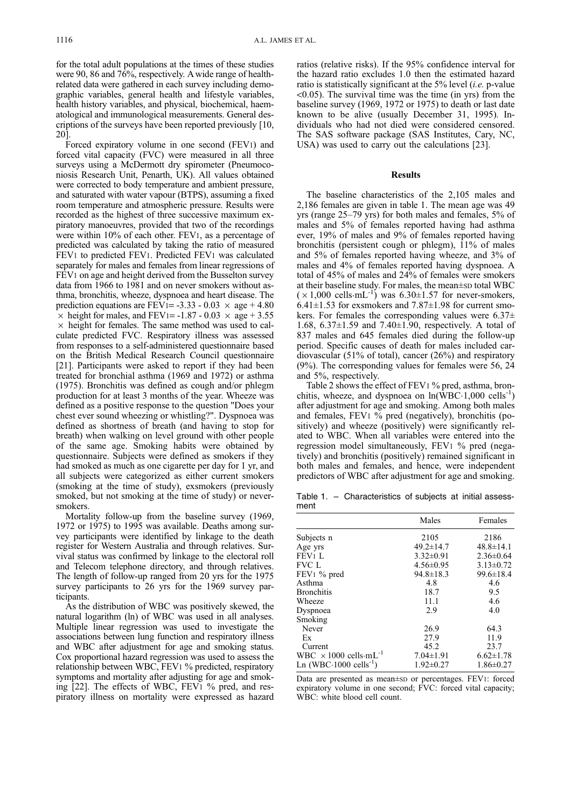for the total adult populations at the times of these studies were 90, 86 and 76%, respectively. A wide range of healthrelated data were gathered in each survey including demographic variables, general health and lifestyle variables, health history variables, and physical, biochemical, haematological and immunological measurements. General descriptions of the surveys have been reported previously [10, 20].

Forced expiratory volume in one second (FEV1) and forced vital capacity (FVC) were measured in all three surveys using a McDermott dry spirometer (Pneumoconiosis Research Unit, Penarth, UK). All values obtained were corrected to body temperature and ambient pressure, and saturated with water vapour (BTPS), assuming a fixed room temperature and atmospheric pressure. Results were recorded as the highest of three successive maximum expiratory manoeuvres, provided that two of the recordings were within 10% of each other. FEV1, as a percentage of predicted was calculated by taking the ratio of measured FEV1 to predicted FEV1. Predicted FEV1 was calculated separately for males and females from linear regressions of FEV1 on age and height derived from the Busselton survey data from 1966 to 1981 and on never smokers without asthma, bronchitis, wheeze, dyspnoea and heart disease. The prediction equations are FEV1= -3.33 - 0.03  $\times$  age + 4.80  $\times$  height for males, and FEV1= -1.87 - 0.03  $\times$  age + 3.55  $\times$  height for females. The same method was used to calculate predicted FVC. Respiratory illness was assessed from responses to a self-administered questionnaire based on the British Medical Research Council questionnaire [21]. Participants were asked to report if they had been treated for bronchial asthma (1969 and 1972) or asthma (1975). Bronchitis was defined as cough and/or phlegm production for at least 3 months of the year. Wheeze was defined as a positive response to the question "Does your chest ever sound wheezing or whistling?". Dyspnoea was defined as shortness of breath (and having to stop for breath) when walking on level ground with other people of the same age. Smoking habits were obtained by questionnaire. Subjects were defined as smokers if they had smoked as much as one cigarette per day for 1 yr, and all subjects were categorized as either current smokers (smoking at the time of study), exsmokers (previously smoked, but not smoking at the time of study) or neversmokers.

Mortality follow-up from the baseline survey (1969, 1972 or 1975) to 1995 was available. Deaths among survey participants were identified by linkage to the death register for Western Australia and through relatives. Survival status was confirmed by linkage to the electoral roll and Telecom telephone directory, and through relatives. The length of follow-up ranged from 20 yrs for the 1975 survey participants to 26 yrs for the 1969 survey participants.

As the distribution of WBC was positively skewed, the natural logarithm (ln) of WBC was used in all analyses. Multiple linear regression was used to investigate the associations between lung function and respiratory illness and WBC after adjustment for age and smoking status. Cox proportional hazard regression was used to assess the relationship between WBC, FEV1 % predicted, respiratory symptoms and mortality after adjusting for age and smoking [22]. The effects of WBC, FEV1 % pred, and respiratory illness on mortality were expressed as hazard ratios (relative risks). If the 95% confidence interval for the hazard ratio excludes 1.0 then the estimated hazard ratio is statistically significant at the 5% level (i.e. p-value <0.05). The survival time was the time (in yrs) from the baseline survey (1969, 1972 or 1975) to death or last date known to be alive (usually December 31, 1995). Individuals who had not died were considered censored. The SAS software package (SAS Institutes, Cary, NC, USA) was used to carry out the calculations [23].

## Results

The baseline characteristics of the 2,105 males and 2,186 females are given in table 1. The mean age was 49 yrs (range  $25-79$  yrs) for both males and females,  $5\%$  of males and 5% of females reported having had asthma ever, 19% of males and 9% of females reported having bronchitis (persistent cough or phlegm), 11% of males and 5% of females reported having wheeze, and 3% of males and 4% of females reported having dyspnoea. A total of 45% of males and 24% of females were smokers at their baseline study. For males, the mean $\pm$ sp total WBC  $(x 1,000 \text{ cells} \cdot \text{mL}^{-1})$  was  $6.30\pm1.57$  for never-smokers,  $6.41\pm1.53$  for exsmokers and  $7.87\pm1.98$  for current smokers. For females the corresponding values were  $6.37\pm$ 1.68,  $6.37 \pm 1.59$  and  $7.40 \pm 1.90$ , respectively. A total of 837 males and 645 females died during the follow-up period. Specific causes of death for males included cardiovascular (51% of total), cancer (26%) and respiratory (9%). The corresponding values for females were 56, 24 and 5%, respectively.

Table 2 shows the effect of FEV1 % pred, asthma, bronchitis, wheeze, and dyspnoea on  $ln(WBC.1,000$  cells<sup>-1</sup>) after adjustment for age and smoking. Among both males and females, FEV1 % pred (negatively), bronchitis (positively) and wheeze (positively) were significantly related to WBC. When all variables were entered into the regression model simultaneously, FEV1 % pred (negatively) and bronchitis (positively) remained significant in both males and females, and hence, were independent predictors of WBC after adjustment for age and smoking.

Table 1.  $-$  Characteristics of subjects at initial assessment

|                                                  | Males           | Females         |
|--------------------------------------------------|-----------------|-----------------|
| Subjects n                                       | 2105            | 2186            |
| Age yrs                                          | $49.2 \pm 14.7$ | $48.8 \pm 14.1$ |
| FEV1L                                            | $3.32 \pm 0.91$ | $2.36\pm0.64$   |
| FVC L                                            | $4.56 \pm 0.95$ | $3.13 \pm 0.72$ |
| FEV <sub>1</sub> % pred                          | $94.8 \pm 18.3$ | $99.6 \pm 18.4$ |
| Asthma                                           | 4.8             | 4.6             |
| <b>Bronchitis</b>                                | 18.7            | 9.5             |
| Wheeze                                           | 11.1            | 4.6             |
| Dyspnoea                                         | 2.9             | 4.0             |
| Smoking                                          |                 |                 |
| Never                                            | 26.9            | 64.3            |
| Ex                                               | 27.9            | 11.9            |
| Current                                          | 45.2            | 23.7            |
| WBC $\times$ 1000 cells $\cdot$ mL <sup>-1</sup> | $7.04 \pm 1.91$ | $6.62 \pm 1.78$ |
| Ln (WBC $\cdot$ 1000 cells $^{-1}$ )             | $1.92 \pm 0.27$ | $1.86 \pm 0.27$ |

Data are presented as mean $\pm$ sp or percentages. FEV1: forced expiratory volume in one second; FVC: forced vital capacity; WBC: white blood cell count.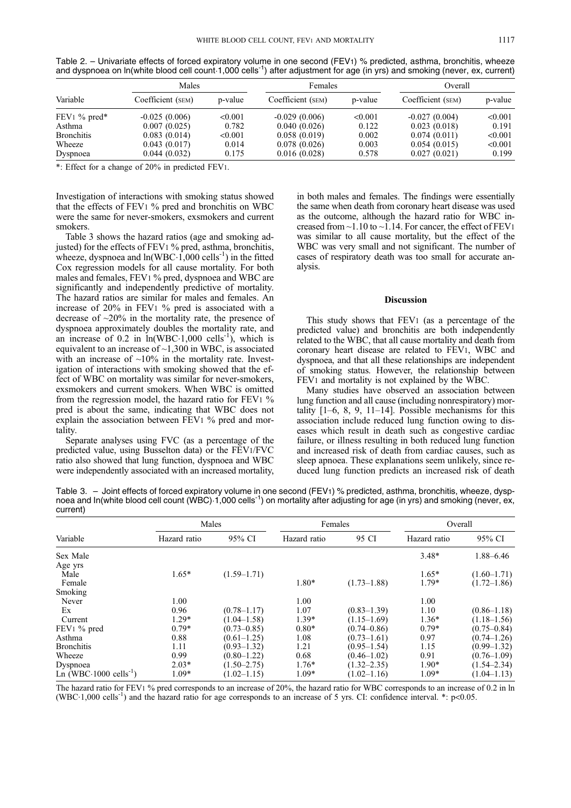|                          | Males             |         | Females           |         | Overall           |         |
|--------------------------|-------------------|---------|-------------------|---------|-------------------|---------|
| Variable                 | Coefficient (SEM) | p-value | Coefficient (SEM) | p-value | Coefficient (SEM) | p-value |
| FEV <sub>1</sub> % pred* | $-0.025(0.006)$   | < 0.001 | $-0.029(0.006)$   | < 0.001 | $-0.027(0.004)$   | < 0.001 |
| Asthma                   | 0.007(0.025)      | 0.782   | 0.040(0.026)      | 0.122   | 0.023(0.018)      | 0.191   |
| <b>Bronchitis</b>        | 0.083(0.014)      | < 0.001 | 0.058(0.019)      | 0.002   | 0.074(0.011)      | < 0.001 |
| Wheeze                   | 0.043(0.017)      | 0.014   | 0.078(0.026)      | 0.003   | 0.054(0.015)      | < 0.001 |
| Dyspnoea                 | 0.044(0.032)      | 0.175   | 0.016(0.028)      | 0.578   | 0.027(0.021)      | 0.199   |

Table 2. - Univariate effects of forced expiratory volume in one second (FEV1) % predicted, asthma, bronchitis, wheeze and dyspnoea on ln(white blood cell count 1,000 cells<sup>-1</sup>) after adjustment for age (in yrs) and smoking (never, ex, current)

\*: Effect for a change of 20% in predicted FEV1.

Investigation of interactions with smoking status showed that the effects of FEV1 % pred and bronchitis on WBC were the same for never-smokers, exsmokers and current smokers.

Table 3 shows the hazard ratios (age and smoking adjusted) for the effects of FEV1 % pred, asthma, bronchitis, wheeze, dyspnoea and  $ln(WBC.1,000$  cells<sup>-1</sup>) in the fitted Cox regression models for all cause mortality. For both males and females, FEV1 % pred, dyspnoea and WBC are significantly and independently predictive of mortality. The hazard ratios are similar for males and females. An increase of 20% in FEV1 % pred is associated with a decrease of  $\sim$ 20% in the mortality rate, the presence of dyspnoea approximately doubles the mortality rate, and an increase of  $0.2$  in  $ln(WBC.1,000$  cells<sup>-1</sup>), which is equivalent to an increase of  $\sim$ 1,300 in WBC, is associated with an increase of  $~10\%$  in the mortality rate. Investigation of interactions with smoking showed that the effect of WBC on mortality was similar for never-smokers, exsmokers and current smokers. When WBC is omitted from the regression model, the hazard ratio for FEV1 % pred is about the same, indicating that WBC does not explain the association between FEV1 % pred and mortality.

Separate analyses using FVC (as a percentage of the predicted value, using Busselton data) or the FEV1/FVC ratio also showed that lung function, dyspnoea and WBC were independently associated with an increased mortality,

in both males and females. The findings were essentially the same when death from coronary heart disease was used as the outcome, although the hazard ratio for WBC increased from  $\sim$ 1.10 to  $\sim$ 1.14. For cancer, the effect of FEV1 was similar to all cause mortality, but the effect of the WBC was very small and not significant. The number of cases of respiratory death was too small for accurate analysis.

## Discussion

This study shows that FEV1 (as a percentage of the predicted value) and bronchitis are both independently related to the WBC, that all cause mortality and death from coronary heart disease are related to FEV1, WBC and dyspnoea, and that all these relationships are independent of smoking status. However, the relationship between FEV1 and mortality is not explained by the WBC.

Many studies have observed an association between lung function and all cause (including nonrespiratory) mortality  $[1-6, 8, 9, 11-14]$ . Possible mechanisms for this association include reduced lung function owing to diseases which result in death such as congestive cardiac failure, or illness resulting in both reduced lung function and increased risk of death from cardiac causes, such as sleep apnoea. These explanations seem unlikely, since reduced lung function predicts an increased risk of death

Table 3.  $-$  Joint effects of forced expiratory volume in one second (FEV1) % predicted, asthma, bronchitis, wheeze, dyspnoea and In(white blood cell count (WBC) 1,000 cells<sup>-1</sup>) on mortality after adjusting for age (in yrs) and smoking (never, ex, current)

| Variable                                   | Males        |                 | Females      |                 | Overall      |                 |
|--------------------------------------------|--------------|-----------------|--------------|-----------------|--------------|-----------------|
|                                            | Hazard ratio | 95% CI          | Hazard ratio | 95 CI           | Hazard ratio | 95% CI          |
| Sex Male                                   |              |                 |              |                 | $3.48*$      | $1.88 - 6.46$   |
| Age yrs                                    |              |                 |              |                 |              |                 |
| Male                                       | $1.65*$      | $(1.59 - 1.71)$ |              |                 | $1.65*$      | $(1.60 - 1.71)$ |
| Female                                     |              |                 | $1.80*$      | $(1.73 - 1.88)$ | $1.79*$      | $(1.72 - 1.86)$ |
| Smoking                                    |              |                 |              |                 |              |                 |
| Never                                      | 1.00         |                 | 1.00         |                 | 1.00         |                 |
| Ex                                         | 0.96         | $(0.78 - 1.17)$ | 1.07         | $(0.83 - 1.39)$ | 1.10         | $(0.86 - 1.18)$ |
| Current                                    | $1.29*$      | $(1.04 - 1.58)$ | $1.39*$      | $(1.15-1.69)$   | $1.36*$      | $(1.18 - 1.56)$ |
| $FEV1 \%$ pred                             | $0.79*$      | $(0.73 - 0.85)$ | $0.80*$      | $(0.74 - 0.86)$ | $0.79*$      | $(0.75 - 0.84)$ |
| Asthma                                     | 0.88         | $(0.61 - 1.25)$ | 1.08         | $(0.73 - 1.61)$ | 0.97         | $(0.74 - 1.26)$ |
| <b>Bronchitis</b>                          | 1.11         | $(0.93 - 1.32)$ | 1.21         | $(0.95 - 1.54)$ | 1.15         | $(0.99 - 1.32)$ |
| Wheeze                                     | 0.99         | $(0.80 - 1.22)$ | 0.68         | $(0.46 - 1.02)$ | 0.91         | $(0.76 - 1.09)$ |
| Dyspnoea                                   | $2.03*$      | $(1.50 - 2.75)$ | $1.76*$      | $(1.32 - 2.35)$ | $1.90*$      | $(1.54 - 2.34)$ |
| Ln (WBC $\cdot$ 1000 cells <sup>-1</sup> ) | $1.09*$      | $(1.02 - 1.15)$ | $1.09*$      | $(1.02 - 1.16)$ | $1.09*$      | $(1.04 - 1.13)$ |

The hazard ratio for FEV1 % pred corresponds to an increase of 20%, the hazard ratio for WBC corresponds to an increase of 0.2 in ln (WBC $\cdot$ 1,000 cells<sup>-1</sup>) and the hazard ratio for age corresponds to an increase of 5 yrs. CI: confidence interval. \*: p<0.05.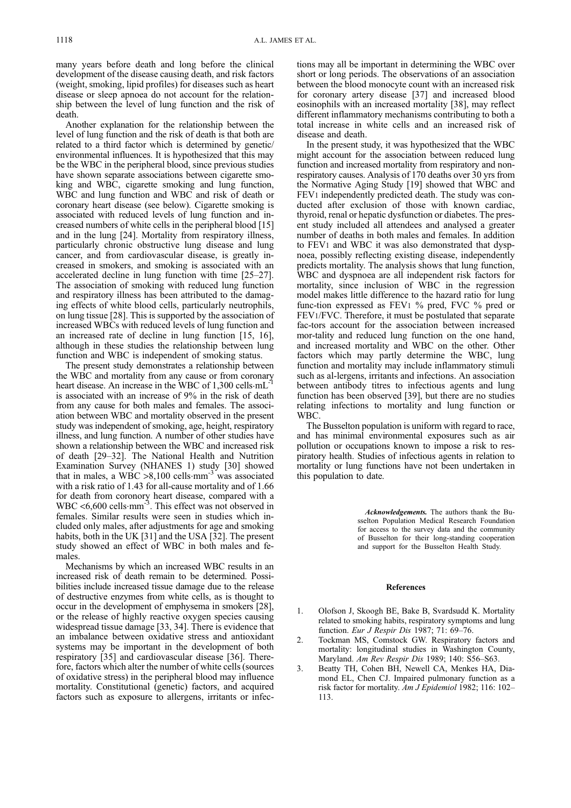many years before death and long before the clinical development of the disease causing death, and risk factors (weight, smoking, lipid profiles) for diseases such as heart disease or sleep apnoea do not account for the relationship between the level of lung function and the risk of death.

Another explanation for the relationship between the level of lung function and the risk of death is that both are related to a third factor which is determined by genetic/ environmental influences. It is hypothesized that this may be the WBC in the peripheral blood, since previous studies have shown separate associations between cigarette smoking and WBC, cigarette smoking and lung function, WBC and lung function and WBC and risk of death or coronary heart disease (see below). Cigarette smoking is associated with reduced levels of lung function and increased numbers of white cells in the peripheral blood [15] and in the lung [24]. Mortality from respiratory illness, particularly chronic obstructive lung disease and lung cancer, and from cardiovascular disease, is greatly increased in smokers, and smoking is associated with an accelerated decline in lung function with time  $[25-27]$ . The association of smoking with reduced lung function and respiratory illness has been attributed to the damaging effects of white blood cells, particularly neutrophils, on lung tissue [28]. This is supported by the association of increased WBCs with reduced levels of lung function and an increased rate of decline in lung function [15, 16], although in these studies the relationship between lung function and WBC is independent of smoking status.

The present study demonstrates a relationship between the WBC and mortality from any cause or from coronary heart disease. An increase in the WBC of  $1.300$  cells $\cdot$ mL $^{-1}$ is associated with an increase of 9% in the risk of death from any cause for both males and females. The association between WBC and mortality observed in the present study was independent of smoking, age, height, respiratory illness, and lung function. A number of other studies have shown a relationship between the WBC and increased risk of death [29-32]. The National Health and Nutrition Examination Survey (NHANES 1) study [30] showed that in males, a WBC  $>8,100$  cells mm<sup>-3</sup> was associated with a risk ratio of 1.43 for all-cause mortality and of 1.66 for death from coronory heart disease, compared with a WBC <6,600 cells mm<sup>-3</sup>. This effect was not observed in females. Similar results were seen in studies which included only males, after adjustments for age and smoking habits, both in the UK [31] and the USA [32]. The present study showed an effect of WBC in both males and females.

Mechanisms by which an increased WBC results in an increased risk of death remain to be determined. Possibilities include increased tissue damage due to the release of destructive enzymes from white cells, as is thought to occur in the development of emphysema in smokers [28], or the release of highly reactive oxygen species causing widespread tissue damage [33, 34]. There is evidence that an imbalance between oxidative stress and antioxidant systems may be important in the development of both respiratory [35] and cardiovascular disease [36]. Therefore, factors which alter the number of white cells (sources of oxidative stress) in the peripheral blood may influence mortality. Constitutional (genetic) factors, and acquired factors such as exposure to allergens, irritants or infec-

tions may all be important in determining the WBC over short or long periods. The observations of an association between the blood monocyte count with an increased risk for coronary artery disease [37] and increased blood eosinophils with an increased mortality [38], may reflect different inflammatory mechanisms contributing to both a total increase in white cells and an increased risk of disease and death.

In the present study, it was hypothesized that the WBC might account for the association between reduced lung function and increased mortality from respiratory and nonrespiratory causes. Analysis of 170 deaths over 30 yrs from the Normative Aging Study [19] showed that WBC and FEV1 independently predicted death. The study was conducted after exclusion of those with known cardiac, thyroid, renal or hepatic dysfunction or diabetes. The present study included all attendees and analysed a greater number of deaths in both males and females. In addition to FEV1 and WBC it was also demonstrated that dyspnoea, possibly reflecting existing disease, independently predicts mortality. The analysis shows that lung function, WBC and dyspnoea are all independent risk factors for mortality, since inclusion of WBC in the regression model makes little difference to the hazard ratio for lung func-tion expressed as FEV1 % pred, FVC % pred or FEV1/FVC. Therefore, it must be postulated that separate fac-tors account for the association between increased mor-tality and reduced lung function on the one hand, and increased mortality and WBC on the other. Other factors which may partly determine the WBC, lung function and mortality may include inflammatory stimuli such as al-lergens, irritants and infections. An association between antibody titres to infectious agents and lung function has been observed [39], but there are no studies relating infections to mortality and lung function or WBC.

The Busselton population is uniform with regard to race, and has minimal environmental exposures such as air pollution or occupations known to impose a risk to respiratory health. Studies of infectious agents in relation to mortality or lung functions have not been undertaken in this population to date.

> Acknowledgements. The authors thank the Busselton Population Medical Research Foundation for access to the survey data and the community of Busselton for their long-standing cooperation and support for the Busselton Health Study.

#### **References**

- 1. Olofson J, Skoogh BE, Bake B, Svardsudd K. Mortality related to smoking habits, respiratory symptoms and lung function. Eur J Respir Dis 1987; 71: 69-76.
- 2. Tockman MS, Comstock GW. Respiratory factors and mortality: longitudinal studies in Washington County, Maryland. Am Rev Respir Dis 1989; 140: S56-S63.
- 3. Beatty TH, Cohen BH, Newell CA, Menkes HA, Diamond EL, Chen CJ. Impaired pulmonary function as a risk factor for mortality. Am J Epidemiol 1982; 116: 102-113.